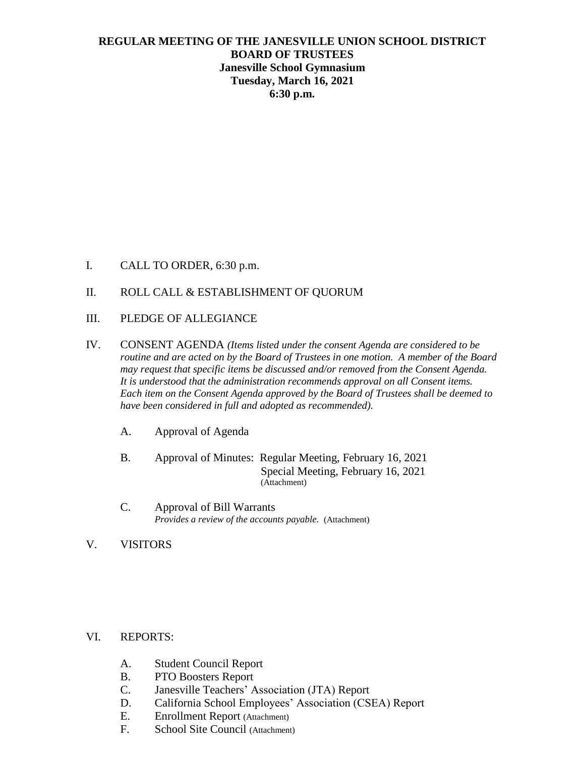## **REGULAR MEETING OF THE JANESVILLE UNION SCHOOL DISTRICT BOARD OF TRUSTEES Janesville School Gymnasium Tuesday, March 16, 2021 6:30 p.m.**

- I. CALL TO ORDER, 6:30 p.m.
- II. ROLL CALL & ESTABLISHMENT OF QUORUM
- III. PLEDGE OF ALLEGIANCE
- IV. CONSENT AGENDA *(Items listed under the consent Agenda are considered to be routine and are acted on by the Board of Trustees in one motion. A member of the Board may request that specific items be discussed and/or removed from the Consent Agenda. It is understood that the administration recommends approval on all Consent items. Each item on the Consent Agenda approved by the Board of Trustees shall be deemed to have been considered in full and adopted as recommended).*
	- A. Approval of Agenda
	- B. Approval of Minutes: Regular Meeting, February 16, 2021 Special Meeting, February 16, 2021 (Attachment)
	- C. Approval of Bill Warrants *Provides a review of the accounts payable.* (Attachment)
- V. VISITORS

## VI. REPORTS:

- A. Student Council Report
- B. PTO Boosters Report
- C. Janesville Teachers' Association (JTA) Report
- D. California School Employees' Association (CSEA) Report
- E. Enrollment Report (Attachment)
- F. School Site Council (Attachment)